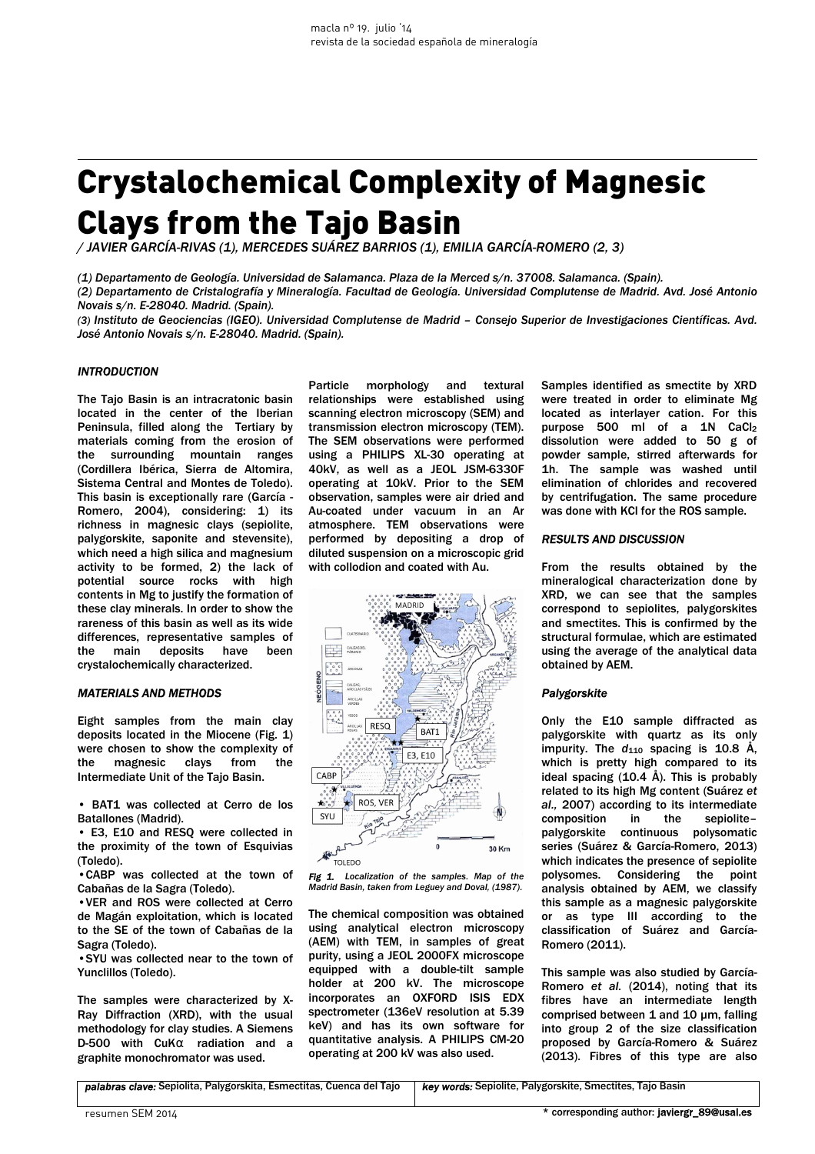# Crystalochemical Complexity of Magnesic Clays from the Tajo Basin

*/ JAVIER GARCÍA-RIVAS (1), MERCEDES SUÁREZ BARRIOS (1), EMILIA GARCÍA-ROMERO (2, 3)* 

*(1) Departamento de Geología. Universidad de Salamanca. Plaza de la Merced s/n. 37008. Salamanca. (Spain).*

*(2) Departamento de Cristalografía y Mineralogía. Facultad de Geología. Universidad Complutense de Madrid. Avd. José Antonio Novais s/n. E-28040. Madrid. (Spain).* 

*(3) Instituto de Geociencias (IGEO). Universidad Complutense de Madrid – Consejo Superior de Investigaciones Científicas. Avd. José Antonio Novais s/n. E-28040. Madrid. (Spain).* 

## *INTRODUCTION*

The Tajo Basin is an intracratonic basin located in the center of the Iberian Peninsula, filled along the Tertiary by materials coming from the erosion of the surrounding mountain ranges (Cordillera Ibérica, Sierra de Altomira, Sistema Central and Montes de Toledo). This basin is exceptionally rare (García - Romero, 2004), considering: 1) its richness in magnesic clays (sepiolite, palygorskite, saponite and stevensite), which need a high silica and magnesium activity to be formed, 2) the lack of potential source rocks with high contents in Mg to justify the formation of these clay minerals. In order to show the rareness of this basin as well as its wide differences, representative samples of<br>the main deposits have been the main deposits have been crystalochemically characterized.

## *MATERIALS AND METHODS*

Eight samples from the main clay deposits located in the Miocene (Fig. 1) were chosen to show the complexity of the magnesic clays from the Intermediate Unit of the Tajo Basin.

• BAT1 was collected at Cerro de los Batallones (Madrid).

• E3, E10 and RESQ were collected in the proximity of the town of Esquivias (Toledo).

•CABP was collected at the town of Cabañas de la Sagra (Toledo).

•VER and ROS were collected at Cerro de Magán exploitation, which is located to the SE of the town of Cabañas de la Sagra (Toledo).

•SYU was collected near to the town of Yunclillos (Toledo).

The samples were characterized by X-Ray Diffraction (XRD), with the usual methodology for clay studies. A Siemens D-500 with CuKα radiation and a graphite monochromator was used.

Particle morphology and textural relationships were established using scanning electron microscopy (SEM) and transmission electron microscopy (TEM). The SEM observations were performed using a PHILIPS XL-30 operating at 40kV, as well as a JEOL JSM-6330F operating at 10kV. Prior to the SEM observation, samples were air dried and Au-coated under vacuum in an Ar atmosphere. TEM observations were performed by depositing a drop of diluted suspension on a microscopic grid with collodion and coated with Au.





The chemical composition was obtained using analytical electron microscopy (AEM) with TEM, in samples of great purity, using a JEOL 2000FX microscope equipped with a double-tilt sample holder at 200 kV. The microscope incorporates an OXFORD ISIS EDX spectrometer (136eV resolution at 5.39 keV) and has its own software for quantitative analysis. A PHILIPS CM-20 operating at 200 kV was also used.

Samples identified as smectite by XRD were treated in order to eliminate Mg located as interlayer cation. For this purpose 500 ml of a 1N CaCl<sub>2</sub> dissolution were added to 50 g of powder sample, stirred afterwards for 1h. The sample was washed until elimination of chlorides and recovered by centrifugation. The same procedure was done with KCl for the ROS sample.

#### *RESULTS AND DISCUSSION*

From the results obtained by the mineralogical characterization done by XRD, we can see that the samples correspond to sepiolites, palygorskites and smectites. This is confirmed by the structural formulae, which are estimated using the average of the analytical data obtained by AEM.

## *Palygorskite*

Only the E10 sample diffracted as palygorskite with quartz as its only impurity. The  $d_{110}$  spacing is 10.8 Å, which is pretty high compared to its ideal spacing  $(10.4 \text{ Å})$ . This is probably related to its high Mg content (Suárez *et al.,* 2007) according to its intermediate composition in the sepiolite– palygorskite continuous polysomatic series (Suárez & García-Romero, 2013) which indicates the presence of sepiolite polysomes. Considering the point analysis obtained by AEM, we classify this sample as a magnesic palygorskite or as type III according to the classification of Suárez and García-Romero (2011).

This sample was also studied by García-Romero *et al.* (2014), noting that its fibres have an intermediate length comprised between 1 and 10 um, falling into group 2 of the size classification proposed by García-Romero & Suárez (2013). Fibres of this type are also

*palabras clave:* Sepiolita, Palygorskita, Esmectitas, Cuenca del Tajo *key words:* Sepiolite, Palygorskite, Smectites, Tajo Basin